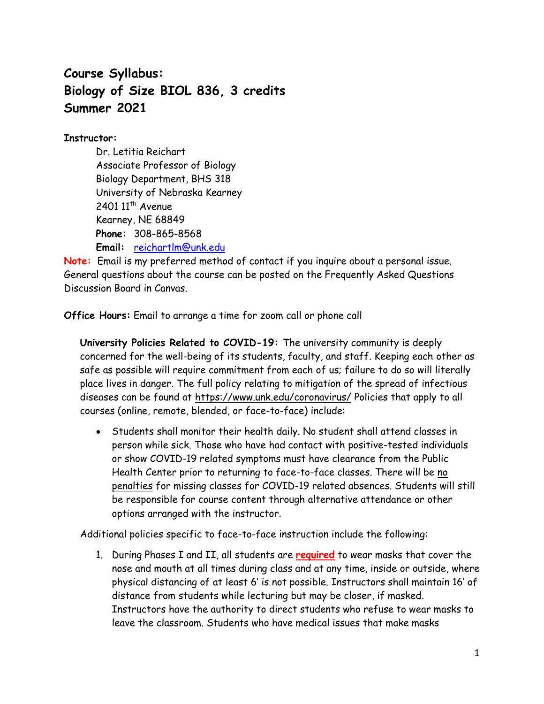# **Course Syllabus: Biology of Size BIOL 836, 3 credits Summer 2021**

## **Instructor:**

Dr. Letitia Reichart Associate Professor of Biology Biology Department, BHS 318 University of Nebraska Kearney  $2401$   $11<sup>th</sup>$  Avenue Kearney, NE 68849 **Phone:** 308-865-8568 **Email:** [reichartlm@unk.edu](mailto:reichartlm@unk.edu)

**Note:** Email is my preferred method of contact if you inquire about a personal issue. General questions about the course can be posted on the Frequently Asked Questions Discussion Board in Canvas.

**Office Hours:** Email to arrange a time for zoom call or phone call

**University Policies Related to COVID-19:** The university community is deeply concerned for the well-being of its students, faculty, and staff. Keeping each other as safe as possible will require commitment from each of us; failure to do so will literally place lives in danger. The full policy relating to mitigation of the spread of infectious diseases can be found at <https://www.unk.edu/coronavirus/> Policies that apply to all courses (online, remote, blended, or face-to-face) include:

• Students shall monitor their health daily. No student shall attend classes in person while sick. Those who have had contact with positive-tested individuals or show COVID-19 related symptoms must have clearance from the Public Health Center prior to returning to face-to-face classes. There will be no penalties for missing classes for COVID-19 related absences. Students will still be responsible for course content through alternative attendance or other options arranged with the instructor.

Additional policies specific to face-to-face instruction include the following:

1. During Phases I and II, all students are **required** to wear masks that cover the nose and mouth at all times during class and at any time, inside or outside, where physical distancing of at least 6' is not possible. Instructors shall maintain 16' of distance from students while lecturing but may be closer, if masked. Instructors have the authority to direct students who refuse to wear masks to leave the classroom. Students who have medical issues that make masks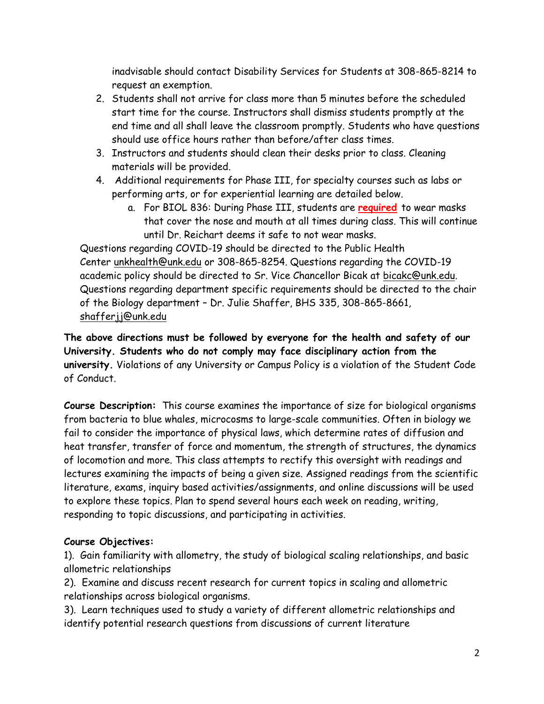inadvisable should contact Disability Services for Students at 308-865-8214 to request an exemption.

- 2. Students shall not arrive for class more than 5 minutes before the scheduled start time for the course. Instructors shall dismiss students promptly at the end time and all shall leave the classroom promptly. Students who have questions should use office hours rather than before/after class times.
- 3. Instructors and students should clean their desks prior to class. Cleaning materials will be provided.
- 4. Additional requirements for Phase III, for specialty courses such as labs or performing arts, or for experiential learning are detailed below.
	- a. For BIOL 836: During Phase III, students are **required** to wear masks that cover the nose and mouth at all times during class. This will continue until Dr. Reichart deems it safe to not wear masks.

Questions regarding COVID-19 should be directed to the Public Health Center [unkhealth@unk.edu](mailto:unkhealth@unk.edu) or 308-865-8254. Questions regarding the COVID-19 academic policy should be directed to Sr. Vice Chancellor Bicak at [bicakc@unk.edu.](mailto:bicakc@unk.edu) Questions regarding department specific requirements should be directed to the chair of the Biology department – Dr. Julie Shaffer, BHS 335, 308-865-8661, [shafferjj@unk.edu](mailto:shafferjj@unk.edu)

**The above directions must be followed by everyone for the health and safety of our University. Students who do not comply may face disciplinary action from the university.** Violations of any University or Campus Policy is a violation of the Student Code of Conduct.

**Course Description:** This course examines the importance of size for biological organisms from bacteria to blue whales, microcosms to large-scale communities. Often in biology we fail to consider the importance of physical laws, which determine rates of diffusion and heat transfer, transfer of force and momentum, the strength of structures, the dynamics of locomotion and more. This class attempts to rectify this oversight with readings and lectures examining the impacts of being a given size. Assigned readings from the scientific literature, exams, inquiry based activities/assignments, and online discussions will be used to explore these topics. Plan to spend several hours each week on reading, writing, responding to topic discussions, and participating in activities.

# **Course Objectives:**

1). Gain familiarity with allometry, the study of biological scaling relationships, and basic allometric relationships

2). Examine and discuss recent research for current topics in scaling and allometric relationships across biological organisms.

3). Learn techniques used to study a variety of different allometric relationships and identify potential research questions from discussions of current literature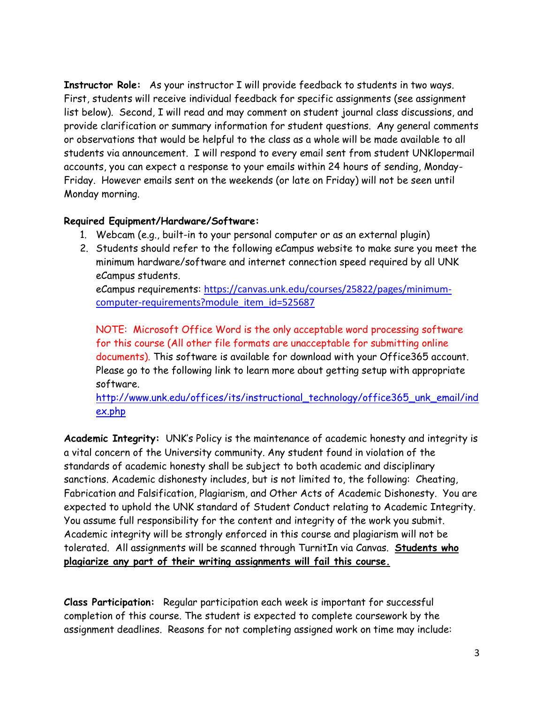**Instructor Role:** As your instructor I will provide feedback to students in two ways. First, students will receive individual feedback for specific assignments (see assignment list below). Second, I will read and may comment on student journal class discussions, and provide clarification or summary information for student questions. Any general comments or observations that would be helpful to the class as a whole will be made available to all students via announcement. I will respond to every email sent from student UNKlopermail accounts, you can expect a response to your emails within 24 hours of sending, Monday-Friday. However emails sent on the weekends (or late on Friday) will not be seen until Monday morning.

### **Required Equipment/Hardware/Software:**

- 1. Webcam (e.g., built-in to your personal computer or as an external plugin)
- 2. Students should refer to the following eCampus website to make sure you meet the minimum hardware/software and internet connection speed required by all UNK eCampus students. eCampus requirements: [https://canvas.unk.edu/courses/25822/pages/minimum](https://canvas.unk.edu/courses/25822/pages/minimum-computer-requirements?module_item_id=525687)[computer-requirements?module\\_item\\_id=525687](https://canvas.unk.edu/courses/25822/pages/minimum-computer-requirements?module_item_id=525687)

NOTE: Microsoft Office Word is the only acceptable word processing software for this course (All other file formats are unacceptable for submitting online documents). This software is available for download with your Office365 account. Please go to the following link to learn more about getting setup with appropriate software.

[http://www.unk.edu/offices/its/instructional\\_technology/office365\\_unk\\_email/ind](http://www.unk.edu/offices/its/instructional_technology/office365_unk_email/index.php) [ex.php](http://www.unk.edu/offices/its/instructional_technology/office365_unk_email/index.php)

**Academic Integrity:** UNK's Policy is the maintenance of academic honesty and integrity is a vital concern of the University community. Any student found in violation of the standards of academic honesty shall be subject to both academic and disciplinary sanctions. Academic dishonesty includes, but is not limited to, the following: Cheating, Fabrication and Falsification, Plagiarism, and Other Acts of Academic Dishonesty. You are expected to uphold the UNK standard of Student Conduct relating to Academic Integrity. You assume full responsibility for the content and integrity of the work you submit. Academic integrity will be strongly enforced in this course and plagiarism will not be tolerated. All assignments will be scanned through TurnitIn via Canvas. **Students who plagiarize any part of their writing assignments will fail this course.**

**Class Participation:** Regular participation each week is important for successful completion of this course. The student is expected to complete coursework by the assignment deadlines. Reasons for not completing assigned work on time may include: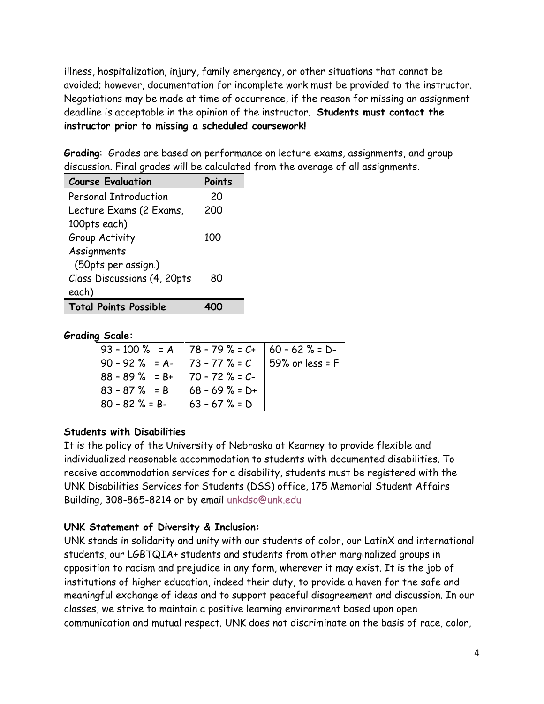illness, hospitalization, injury, family emergency, or other situations that cannot be avoided; however, documentation for incomplete work must be provided to the instructor. Negotiations may be made at time of occurrence, if the reason for missing an assignment deadline is acceptable in the opinion of the instructor. **Students must contact the instructor prior to missing a scheduled coursework!**

**Grading**: Grades are based on performance on lecture exams, assignments, and group discussion. Final grades will be calculated from the average of all assignments.

| <b>Course Evaluation</b>     | Points |  |
|------------------------------|--------|--|
| <b>Personal Introduction</b> | 20     |  |
| Lecture Exams (2 Exams,      | 200    |  |
| 100pts each)                 |        |  |
| Group Activity               | 100    |  |
| Assignments                  |        |  |
| (50pts per assign.)          |        |  |
| Class Discussions (4, 20pts  | 80     |  |
| each)                        |        |  |
| <b>Total Points Possible</b> |        |  |

#### **Grading Scale:**

|                                   | 93 - 100 % = A   78 - 79 % = $C+$   60 - 62 % = D-                                           |
|-----------------------------------|----------------------------------------------------------------------------------------------|
|                                   |                                                                                              |
| $88 - 89$ % = B+   70 - 72 % = C- |                                                                                              |
|                                   |                                                                                              |
| $ 63 - 67 \% = D$                 |                                                                                              |
|                                   | 90 - 92 % = A-   73 - 77 % = $C$   59% or less = F<br>$83 - 87$ % = B $\big  68 - 69$ % = D+ |

### **Students with Disabilities**

It is the policy of the University of Nebraska at Kearney to provide flexible and individualized reasonable accommodation to students with documented disabilities. To receive accommodation services for a disability, students must be registered with the UNK Disabilities Services for Students (DSS) office, 175 Memorial Student Affairs Building, 308-865-8214 or by email [unkdso@unk.edu](mailto:unkdso@unk.edu)

# **UNK Statement of Diversity & Inclusion:**

UNK stands in solidarity and unity with our students of color, our LatinX and international students, our LGBTQIA+ students and students from other marginalized groups in opposition to racism and prejudice in any form, wherever it may exist. It is the job of institutions of higher education, indeed their duty, to provide a haven for the safe and meaningful exchange of ideas and to support peaceful disagreement and discussion. In our classes, we strive to maintain a positive learning environment based upon open communication and mutual respect. UNK does not discriminate on the basis of race, color,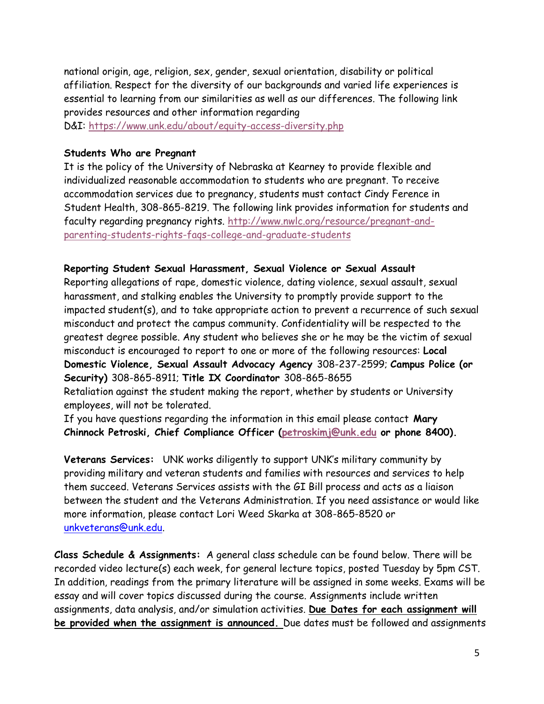national origin, age, religion, sex, gender, sexual orientation, disability or political affiliation. Respect for the diversity of our backgrounds and varied life experiences is essential to learning from our similarities as well as our differences. The following link provides resources and other information regarding

D&I: <https://www.unk.edu/about/equity-access-diversity.php>

#### **Students Who are Pregnant**

It is the policy of the University of Nebraska at Kearney to provide flexible and individualized reasonable accommodation to students who are pregnant. To receive accommodation services due to pregnancy, students must contact Cindy Ference in Student Health, 308-865-8219. The following link provides information for students and faculty regarding pregnancy rights. [http://www.nwlc.org/resource/pregnant-and](https://urldefense.proofpoint.com/v2/url?u=http-3A__www.nwlc.org_resource_pregnant-2Dand-2Dparenting-2Dstudents-2Drights-2Dfaqs-2Dcollege-2Dand-2Dgraduate-2Dstudents&d=DwMFAg&c=Cu5g146wZdoqVuKpTNsYHeFX_rg6kWhlkLF8Eft-wwo&r=BJkIhAaMtWY7PlqIhIOyVw&m=RgBL3s2VNHfvD5ReMK2q_PhwYU8dbEt1vxs1BO4WkpQ&s=MmB91XAzaW-E7UPMXPGx9tWJQbTWJYyYzM8gLjhEzQ0&e=)[parenting-students-rights-faqs-college-and-graduate-students](https://urldefense.proofpoint.com/v2/url?u=http-3A__www.nwlc.org_resource_pregnant-2Dand-2Dparenting-2Dstudents-2Drights-2Dfaqs-2Dcollege-2Dand-2Dgraduate-2Dstudents&d=DwMFAg&c=Cu5g146wZdoqVuKpTNsYHeFX_rg6kWhlkLF8Eft-wwo&r=BJkIhAaMtWY7PlqIhIOyVw&m=RgBL3s2VNHfvD5ReMK2q_PhwYU8dbEt1vxs1BO4WkpQ&s=MmB91XAzaW-E7UPMXPGx9tWJQbTWJYyYzM8gLjhEzQ0&e=)

#### **Reporting Student Sexual Harassment, Sexual Violence or Sexual Assault**

Reporting allegations of rape, domestic violence, dating violence, sexual assault, sexual harassment, and stalking enables the University to promptly provide support to the impacted student(s), and to take appropriate action to prevent a recurrence of such sexual misconduct and protect the campus community. Confidentiality will be respected to the greatest degree possible. Any student who believes she or he may be the victim of sexual misconduct is encouraged to report to one or more of the following resources: **Local Domestic Violence, Sexual Assault Advocacy Agency** 308-237-2599; **Campus Police (or Security)** 308-865-8911; **Title IX Coordinator** 308-865-8655

Retaliation against the student making the report, whether by students or University employees, will not be tolerated.

If you have questions regarding the information in this email please contact **Mary Chinnock Petroski, Chief Compliance Officer [\(petroskimj@unk.edu](mailto:petroskimj@unk.edu) or phone 8400).**

**Veterans Services:** UNK works diligently to support UNK's military community by providing military and veteran students and families with resources and services to help them succeed. Veterans Services assists with the GI Bill process and acts as a liaison between the student and the Veterans Administration. If you need assistance or would like more information, please contact Lori Weed Skarka at 308-865-8520 or [unkveterans@unk.edu.](mailto:unkveterans@unk.edu)

**Class Schedule & Assignments:** A general class schedule can be found below. There will be recorded video lecture(s) each week, for general lecture topics, posted Tuesday by 5pm CST. In addition, readings from the primary literature will be assigned in some weeks. Exams will be essay and will cover topics discussed during the course. Assignments include written assignments, data analysis, and/or simulation activities. **Due Dates for each assignment will be provided when the assignment is announced.** Due dates must be followed and assignments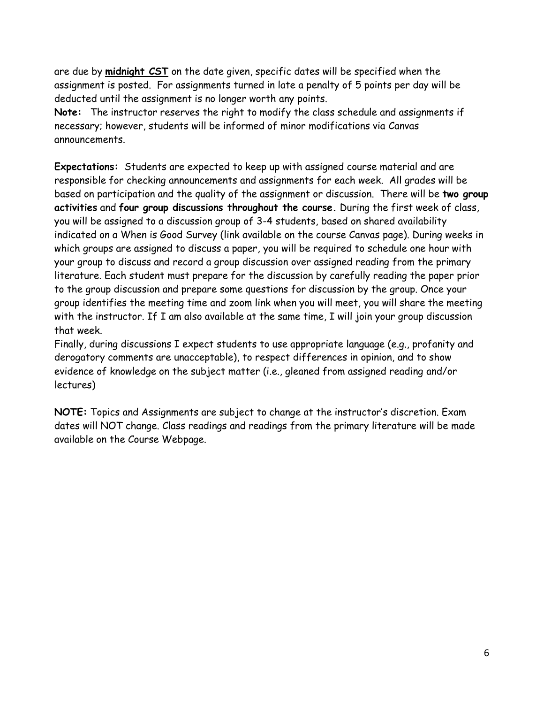are due by **midnight CST** on the date given, specific dates will be specified when the assignment is posted. For assignments turned in late a penalty of 5 points per day will be deducted until the assignment is no longer worth any points.

**Note:** The instructor reserves the right to modify the class schedule and assignments if necessary; however, students will be informed of minor modifications via Canvas announcements.

**Expectations:** Students are expected to keep up with assigned course material and are responsible for checking announcements and assignments for each week. All grades will be based on participation and the quality of the assignment or discussion. There will be **two group activities** and **four group discussions throughout the course.** During the first week of class, you will be assigned to a discussion group of 3-4 students, based on shared availability indicated on a When is Good Survey (link available on the course Canvas page). During weeks in which groups are assigned to discuss a paper, you will be required to schedule one hour with your group to discuss and record a group discussion over assigned reading from the primary literature. Each student must prepare for the discussion by carefully reading the paper prior to the group discussion and prepare some questions for discussion by the group. Once your group identifies the meeting time and zoom link when you will meet, you will share the meeting with the instructor. If I am also available at the same time, I will join your group discussion that week.

Finally, during discussions I expect students to use appropriate language (e.g., profanity and derogatory comments are unacceptable), to respect differences in opinion, and to show evidence of knowledge on the subject matter (i.e., gleaned from assigned reading and/or lectures)

**NOTE:** Topics and Assignments are subject to change at the instructor's discretion. Exam dates will NOT change. Class readings and readings from the primary literature will be made available on the Course Webpage.